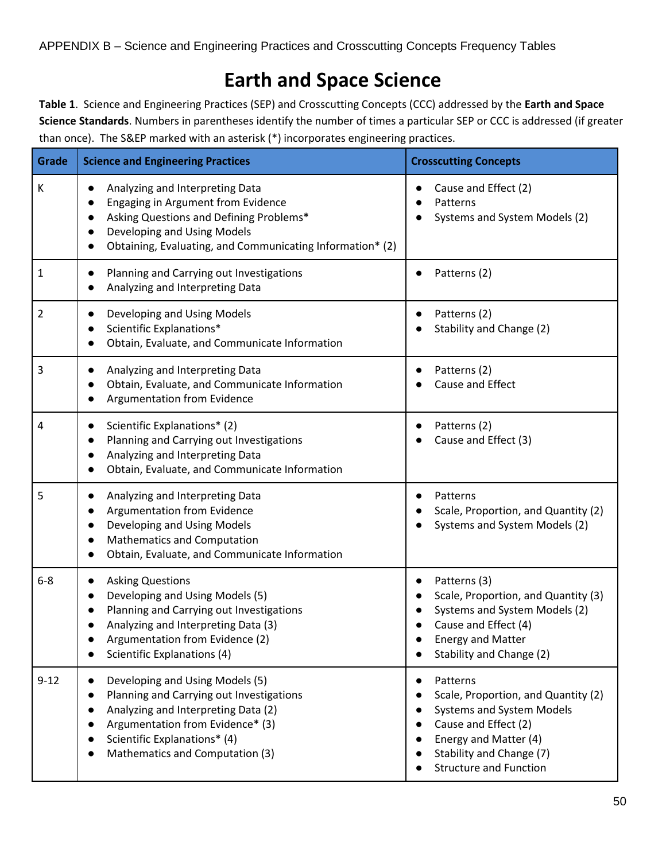## **Earth and Space Science**

**Table 1**. Science and Engineering Practices (SEP) and Crosscutting Concepts (CCC) addressed by the **Earth and Space Science Standards**. Numbers in parentheses identify the number of times a particular SEP or CCC is addressed (if greater than once). The S&EP marked with an asterisk (\*) incorporates engineering practices.

| <b>Grade</b>   | <b>Science and Engineering Practices</b>                                                                                                                                                                                                                         | <b>Crosscutting Concepts</b>                                                                                                                                                                           |
|----------------|------------------------------------------------------------------------------------------------------------------------------------------------------------------------------------------------------------------------------------------------------------------|--------------------------------------------------------------------------------------------------------------------------------------------------------------------------------------------------------|
| К              | Analyzing and Interpreting Data<br>$\bullet$<br>Engaging in Argument from Evidence<br>Asking Questions and Defining Problems*<br>$\bullet$<br>Developing and Using Models<br>$\bullet$<br>Obtaining, Evaluating, and Communicating Information* (2)<br>$\bullet$ | Cause and Effect (2)<br>Patterns<br>Systems and System Models (2)                                                                                                                                      |
| $\mathbf{1}$   | Planning and Carrying out Investigations<br>$\bullet$<br>Analyzing and Interpreting Data                                                                                                                                                                         | Patterns (2)                                                                                                                                                                                           |
| $\overline{2}$ | Developing and Using Models<br>Scientific Explanations*<br>Obtain, Evaluate, and Communicate Information                                                                                                                                                         | Patterns (2)<br>Stability and Change (2)                                                                                                                                                               |
| 3              | Analyzing and Interpreting Data<br>$\bullet$<br>Obtain, Evaluate, and Communicate Information<br>Argumentation from Evidence                                                                                                                                     | Patterns (2)<br>Cause and Effect                                                                                                                                                                       |
| 4              | Scientific Explanations* (2)<br>$\bullet$<br>Planning and Carrying out Investigations<br>$\bullet$<br>Analyzing and Interpreting Data<br>$\bullet$<br>Obtain, Evaluate, and Communicate Information                                                              | Patterns (2)<br>Cause and Effect (3)                                                                                                                                                                   |
| 5              | Analyzing and Interpreting Data<br>$\bullet$<br>Argumentation from Evidence<br>$\bullet$<br>Developing and Using Models<br>$\bullet$<br><b>Mathematics and Computation</b><br>$\bullet$<br>Obtain, Evaluate, and Communicate Information                         | Patterns<br>Scale, Proportion, and Quantity (2)<br>Systems and System Models (2)                                                                                                                       |
| $6 - 8$        | <b>Asking Questions</b><br>$\bullet$<br>Developing and Using Models (5)<br>$\bullet$<br>Planning and Carrying out Investigations<br>Analyzing and Interpreting Data (3)<br>Argumentation from Evidence (2)<br>Scientific Explanations (4)                        | Patterns (3)<br>Scale, Proportion, and Quantity (3)<br>Systems and System Models (2)<br>Cause and Effect (4)<br><b>Energy and Matter</b><br>Stability and Change (2)                                   |
| $9 - 12$       | Developing and Using Models (5)<br>$\bullet$<br>Planning and Carrying out Investigations<br>$\bullet$<br>Analyzing and Interpreting Data (2)<br>Argumentation from Evidence* (3)<br>Scientific Explanations* (4)<br>Mathematics and Computation (3)              | Patterns<br>٠<br>Scale, Proportion, and Quantity (2)<br><b>Systems and System Models</b><br>Cause and Effect (2)<br>Energy and Matter (4)<br>Stability and Change (7)<br><b>Structure and Function</b> |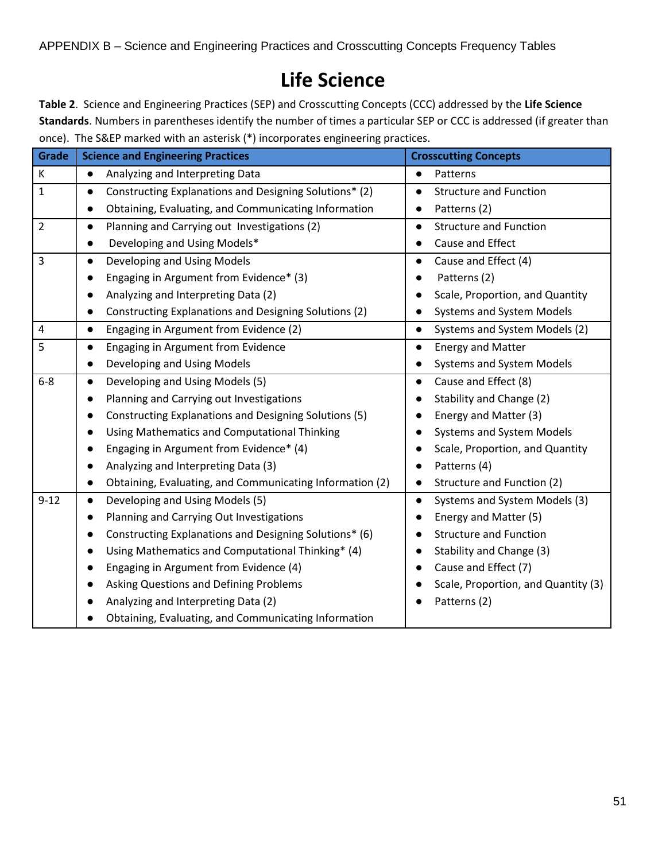## **Life Science**

**Table 2**. Science and Engineering Practices (SEP) and Crosscutting Concepts (CCC) addressed by the **Life Science Standards**. Numbers in parentheses identify the number of times a particular SEP or CCC is addressed (if greater than once). The S&EP marked with an asterisk (\*) incorporates engineering practices.

| <b>Grade</b>   | <b>Science and Engineering Practices</b>                              | <b>Crosscutting Concepts</b>               |
|----------------|-----------------------------------------------------------------------|--------------------------------------------|
| К              | Analyzing and Interpreting Data<br>$\bullet$                          | Patterns                                   |
| $\mathbf{1}$   | Constructing Explanations and Designing Solutions* (2)<br>$\bullet$   | <b>Structure and Function</b>              |
|                | Obtaining, Evaluating, and Communicating Information<br>$\bullet$     | Patterns (2)                               |
| $\overline{2}$ | Planning and Carrying out Investigations (2)<br>$\bullet$             | <b>Structure and Function</b>              |
|                | Developing and Using Models*                                          | Cause and Effect                           |
| 3              | Developing and Using Models<br>$\bullet$                              | Cause and Effect (4)                       |
|                | Engaging in Argument from Evidence* (3)                               | Patterns (2)                               |
|                | Analyzing and Interpreting Data (2)                                   | Scale, Proportion, and Quantity            |
|                | Constructing Explanations and Designing Solutions (2)<br>$\bullet$    | Systems and System Models                  |
| 4              | Engaging in Argument from Evidence (2)<br>$\bullet$                   | Systems and System Models (2)<br>$\bullet$ |
| 5              | Engaging in Argument from Evidence<br>$\bullet$                       | <b>Energy and Matter</b>                   |
|                | Developing and Using Models<br>$\bullet$                              | Systems and System Models                  |
| $6-8$          | Developing and Using Models (5)<br>$\bullet$                          | Cause and Effect (8)<br>$\bullet$          |
|                | Planning and Carrying out Investigations                              | Stability and Change (2)                   |
|                | Constructing Explanations and Designing Solutions (5)                 | Energy and Matter (3)                      |
|                | Using Mathematics and Computational Thinking<br>$\bullet$             | <b>Systems and System Models</b>           |
|                | Engaging in Argument from Evidence* (4)                               | Scale, Proportion, and Quantity            |
|                | Analyzing and Interpreting Data (3)                                   | Patterns (4)                               |
|                | Obtaining, Evaluating, and Communicating Information (2)<br>$\bullet$ | Structure and Function (2)                 |
| $9 - 12$       | Developing and Using Models (5)<br>$\bullet$                          | Systems and System Models (3)              |
|                | Planning and Carrying Out Investigations<br>$\bullet$                 | Energy and Matter (5)                      |
|                | Constructing Explanations and Designing Solutions* (6)<br>$\bullet$   | <b>Structure and Function</b>              |
|                | Using Mathematics and Computational Thinking* (4)                     | Stability and Change (3)                   |
|                | Engaging in Argument from Evidence (4)                                | Cause and Effect (7)                       |
|                | <b>Asking Questions and Defining Problems</b>                         | Scale, Proportion, and Quantity (3)        |
|                | Analyzing and Interpreting Data (2)                                   | Patterns (2)                               |
|                | Obtaining, Evaluating, and Communicating Information                  |                                            |